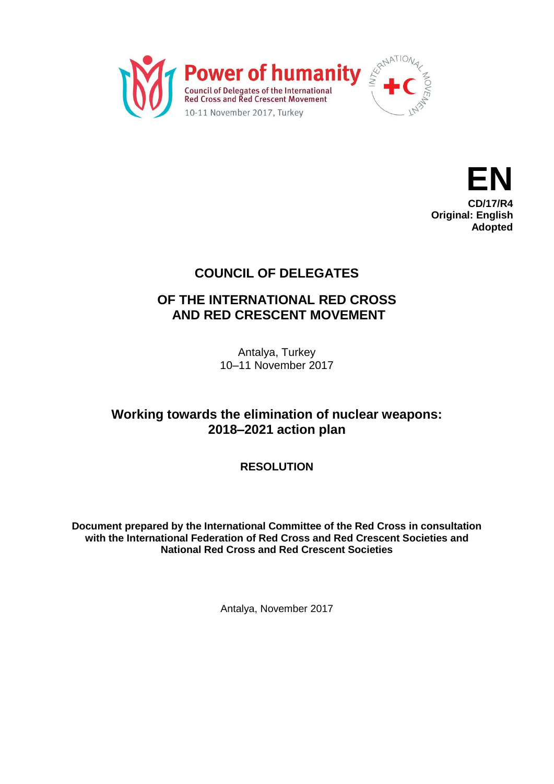



# **COUNCIL OF DELEGATES**

# **OF THE INTERNATIONAL RED CROSS AND RED CRESCENT MOVEMENT**

Antalya, Turkey 10–11 November 2017

# **Working towards the elimination of nuclear weapons: 2018–2021 action plan**

**RESOLUTION**

**Document prepared by the International Committee of the Red Cross in consultation with the International Federation of Red Cross and Red Crescent Societies and National Red Cross and Red Crescent Societies**

Antalya, November 2017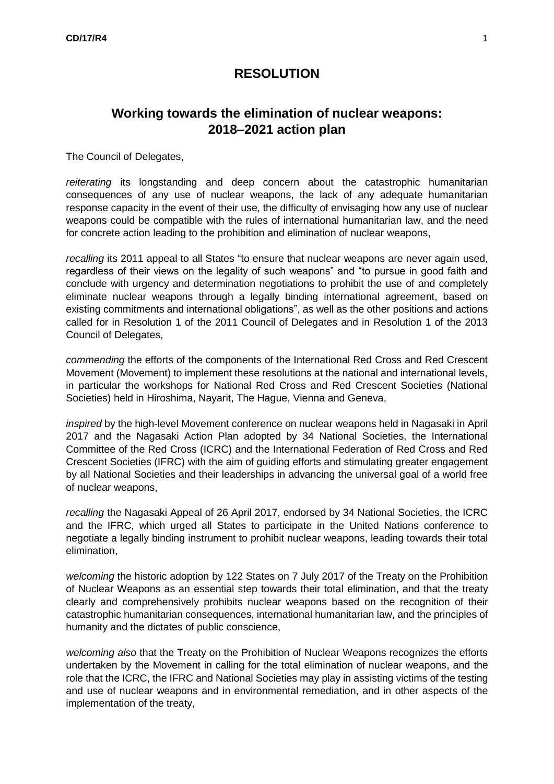## **RESOLUTION**

# **Working towards the elimination of nuclear weapons: 2018–2021 action plan**

The Council of Delegates,

*reiterating* its longstanding and deep concern about the catastrophic humanitarian consequences of any use of nuclear weapons, the lack of any adequate humanitarian response capacity in the event of their use, the difficulty of envisaging how any use of nuclear weapons could be compatible with the rules of international humanitarian law, and the need for concrete action leading to the prohibition and elimination of nuclear weapons,

*recalling* its 2011 appeal to all States "to ensure that nuclear weapons are never again used, regardless of their views on the legality of such weapons" and "to pursue in good faith and conclude with urgency and determination negotiations to prohibit the use of and completely eliminate nuclear weapons through a legally binding international agreement, based on existing commitments and international obligations", as well as the other positions and actions called for in Resolution 1 of the 2011 Council of Delegates and in Resolution 1 of the 2013 Council of Delegates,

*commending* the efforts of the components of the International Red Cross and Red Crescent Movement (Movement) to implement these resolutions at the national and international levels, in particular the workshops for National Red Cross and Red Crescent Societies (National Societies) held in Hiroshima, Nayarit, The Hague, Vienna and Geneva,

*inspired* by the high-level Movement conference on nuclear weapons held in Nagasaki in April 2017 and the Nagasaki Action Plan adopted by 34 National Societies, the International Committee of the Red Cross (ICRC) and the International Federation of Red Cross and Red Crescent Societies (IFRC) with the aim of guiding efforts and stimulating greater engagement by all National Societies and their leaderships in advancing the universal goal of a world free of nuclear weapons,

*recalling* the Nagasaki Appeal of 26 April 2017, endorsed by 34 National Societies, the ICRC and the IFRC, which urged all States to participate in the United Nations conference to negotiate a legally binding instrument to prohibit nuclear weapons, leading towards their total elimination,

*welcoming* the historic adoption by 122 States on 7 July 2017 of the Treaty on the Prohibition of Nuclear Weapons as an essential step towards their total elimination, and that the treaty clearly and comprehensively prohibits nuclear weapons based on the recognition of their catastrophic humanitarian consequences, international humanitarian law, and the principles of humanity and the dictates of public conscience,

*welcoming also* that the Treaty on the Prohibition of Nuclear Weapons recognizes the efforts undertaken by the Movement in calling for the total elimination of nuclear weapons, and the role that the ICRC, the IFRC and National Societies may play in assisting victims of the testing and use of nuclear weapons and in environmental remediation, and in other aspects of the implementation of the treaty,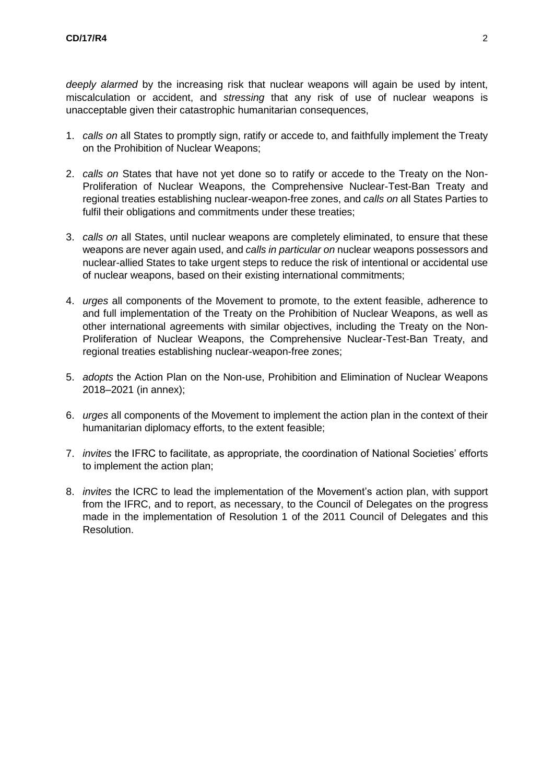*deeply alarmed* by the increasing risk that nuclear weapons will again be used by intent, miscalculation or accident, and *stressing* that any risk of use of nuclear weapons is unacceptable given their catastrophic humanitarian consequences,

- 1. *calls on* all States to promptly sign, ratify or accede to, and faithfully implement the Treaty on the Prohibition of Nuclear Weapons;
- 2. *calls on* States that have not yet done so to ratify or accede to the Treaty on the Non-Proliferation of Nuclear Weapons, the Comprehensive Nuclear-Test-Ban Treaty and regional treaties establishing nuclear-weapon-free zones, and *calls on* all States Parties to fulfil their obligations and commitments under these treaties;
- 3. *calls on* all States, until nuclear weapons are completely eliminated, to ensure that these weapons are never again used, and *calls in particular on* nuclear weapons possessors and nuclear-allied States to take urgent steps to reduce the risk of intentional or accidental use of nuclear weapons, based on their existing international commitments;
- 4. *urges* all components of the Movement to promote, to the extent feasible, adherence to and full implementation of the Treaty on the Prohibition of Nuclear Weapons, as well as other international agreements with similar objectives, including the Treaty on the Non-Proliferation of Nuclear Weapons, the Comprehensive Nuclear-Test-Ban Treaty, and regional treaties establishing nuclear-weapon-free zones;
- 5. *adopts* the Action Plan on the Non-use, Prohibition and Elimination of Nuclear Weapons 2018–2021 (in annex);
- 6. *urges* all components of the Movement to implement the action plan in the context of their humanitarian diplomacy efforts, to the extent feasible;
- 7. *invites* the IFRC to facilitate, as appropriate, the coordination of National Societies' efforts to implement the action plan;
- 8. *invites* the ICRC to lead the implementation of the Movement's action plan, with support from the IFRC, and to report, as necessary, to the Council of Delegates on the progress made in the implementation of Resolution 1 of the 2011 Council of Delegates and this Resolution.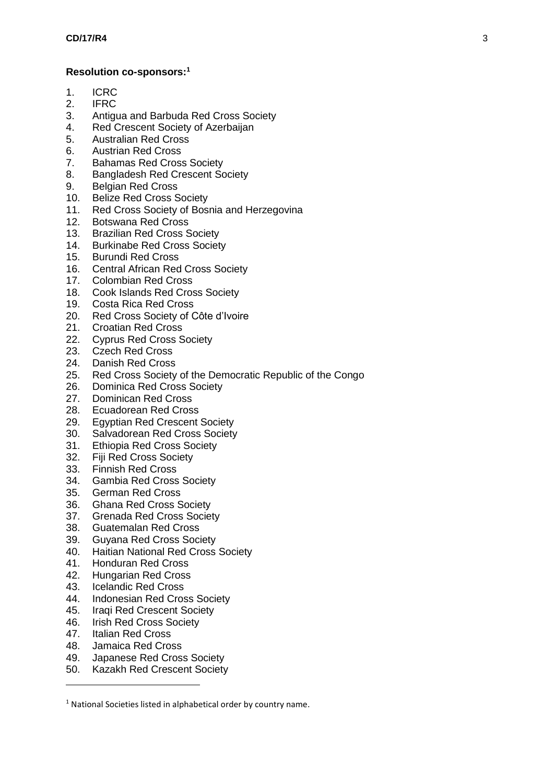### **Resolution co-sponsors:<sup>1</sup>**

- 1. ICRC
- 2. IFRC
- 3. Antigua and Barbuda Red Cross Society
- 4. Red Crescent Society of Azerbaijan
- 5. Australian Red Cross
- 6. Austrian Red Cross
- 7. Bahamas Red Cross Society
- 8. Bangladesh Red Crescent Society
- 9. Belgian Red Cross
- 10. Belize Red Cross Society
- 11. Red Cross Society of Bosnia and Herzegovina
- 12. Botswana Red Cross
- 13. Brazilian Red Cross Society
- 14. Burkinabe Red Cross Society
- 15. Burundi Red Cross
- 16. Central African Red Cross Society
- 17. Colombian Red Cross
- 18. Cook Islands Red Cross Society
- 19. Costa Rica Red Cross
- 20. Red Cross Society of Côte d'Ivoire
- 21. Croatian Red Cross
- 22. Cyprus Red Cross Society
- 23. Czech Red Cross
- 24. Danish Red Cross
- 25. Red Cross Society of the Democratic Republic of the Congo
- 26. Dominica Red Cross Society
- 27. Dominican Red Cross
- 28. Ecuadorean Red Cross
- 29. Egyptian Red Crescent Society<br>30. Salvadorean Red Cross Society
- Salvadorean Red Cross Society
- 31. Ethiopia Red Cross Society
- 32. Fiji Red Cross Society
- 33. Finnish Red Cross
- 34. Gambia Red Cross Society
- 35. German Red Cross
- 36. Ghana Red Cross Society
- 37. Grenada Red Cross Society
- 38. Guatemalan Red Cross
- 39. Guyana Red Cross Society
- 40. Haitian National Red Cross Society
- 41. Honduran Red Cross
- 42. Hungarian Red Cross
- 43. Icelandic Red Cross
- 44. Indonesian Red Cross Society
- 45. Iraqi Red Crescent Society
- 46. Irish Red Cross Society
- 47. Italian Red Cross

 $\overline{\phantom{a}}$ 

- 48. Jamaica Red Cross
- 49. Japanese Red Cross Society
- 50. Kazakh Red Crescent Society

<sup>&</sup>lt;sup>1</sup> National Societies listed in alphabetical order by country name.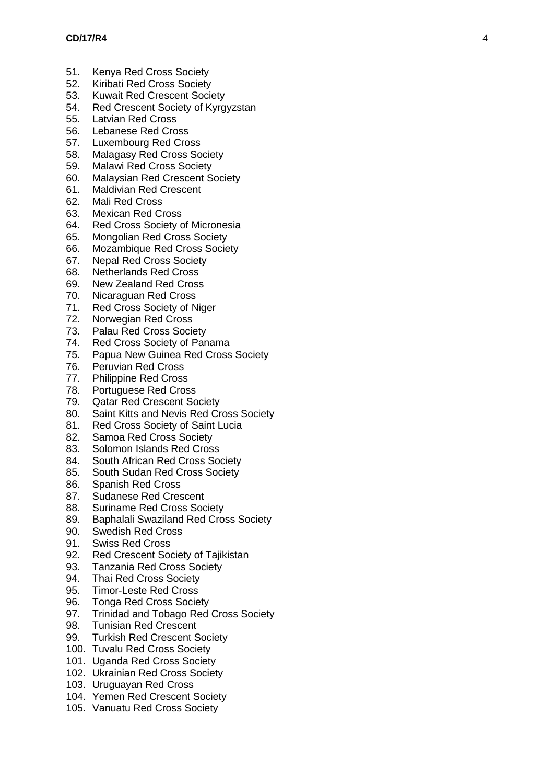- 51. Kenya Red Cross Society
- 52. Kiribati Red Cross Society
- 53. Kuwait Red Crescent Society
- 54. Red Crescent Society of Kyrgyzstan
- 55. Latvian Red Cross
- 56. Lebanese Red Cross
- 57. Luxembourg Red Cross
- 58. Malagasy Red Cross Society
- 59. Malawi Red Cross Society
- 60. Malaysian Red Crescent Society
- 61. Maldivian Red Crescent
- 62. Mali Red Cross
- 63. Mexican Red Cross
- 64. Red Cross Society of Micronesia
- 65. Mongolian Red Cross Society
- 66. Mozambique Red Cross Society<br>67. Nepal Red Cross Society
- **Nepal Red Cross Society**
- 68. Netherlands Red Cross
- 69. New Zealand Red Cross
- 70. Nicaraguan Red Cross
- 71. Red Cross Society of Niger
- 72. Norwegian Red Cross
- 73. Palau Red Cross Society
- 74. Red Cross Society of Panama
- 75. Papua New Guinea Red Cross Society
- 76. Peruvian Red Cross
- 77. Philippine Red Cross
- 78. Portuguese Red Cross
- 79. Qatar Red Crescent Society
- 80. Saint Kitts and Nevis Red Cross Society
- 81. Red Cross Society of Saint Lucia
- 82. Samoa Red Cross Society
- 83. Solomon Islands Red Cross
- 84. South African Red Cross Society
- 85. South Sudan Red Cross Society
- 86. Spanish Red Cross
- 87. Sudanese Red Crescent
- 88. Suriname Red Cross Society
- 89. Baphalali Swaziland Red Cross Society
- 90. Swedish Red Cross
- 91. Swiss Red Cross
- 92. Red Crescent Society of Tajikistan
- 93. Tanzania Red Cross Society
- 94. Thai Red Cross Society
- 95. Timor -Leste Red Cross
- 96. Tonga Red Cross Society
- 97. Trinidad and Tobago Red Cross Society
- 98. Tunisian Red Crescent<br>99. Turkish Red Crescent S
- **Turkish Red Crescent Society**
- 100. Tuvalu Red Cross Society
- 101. Uganda Red Cross Society
- 102. Ukrainian Red Cross Society
- 103. Uruguayan Red Cross
- 104. Yemen Red Crescent Society
- 105. Vanuatu Red Cross Society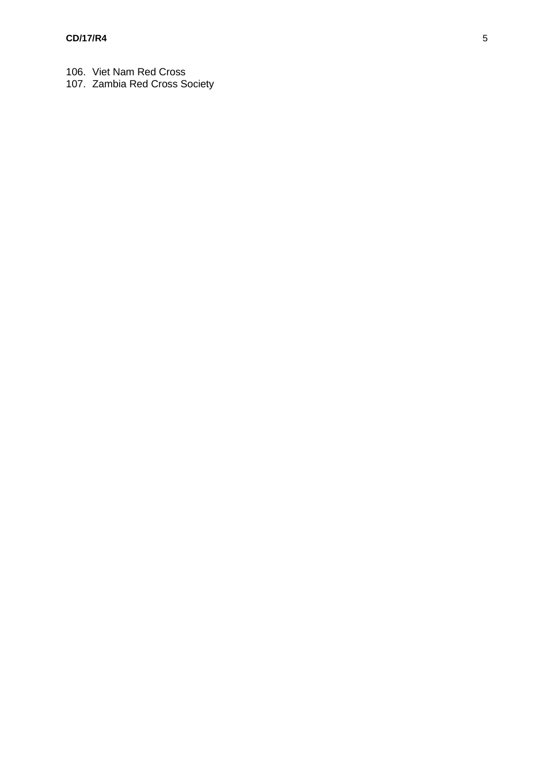- 106. Viet Nam Red Cross
- 107. Zambia Red Cross Society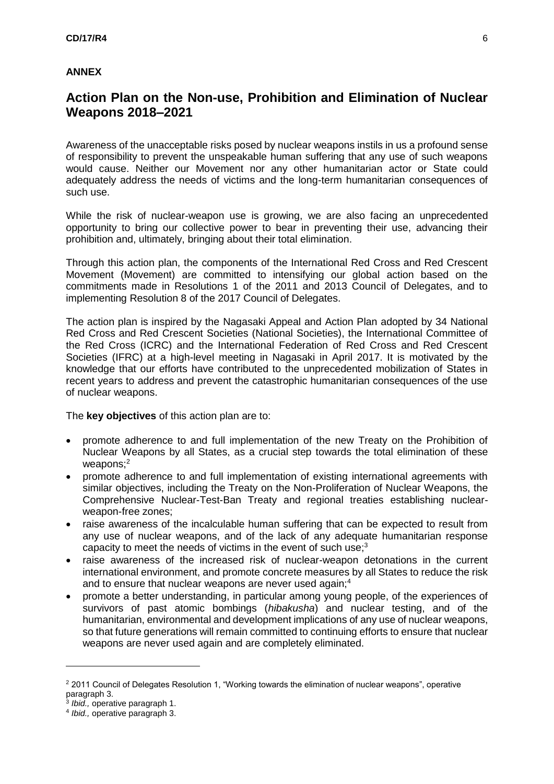### **ANNEX**

## **Action Plan on the Non-use, Prohibition and Elimination of Nuclear Weapons 2018–2021**

Awareness of the unacceptable risks posed by nuclear weapons instils in us a profound sense of responsibility to prevent the unspeakable human suffering that any use of such weapons would cause. Neither our Movement nor any other humanitarian actor or State could adequately address the needs of victims and the long-term humanitarian consequences of such use.

While the risk of nuclear-weapon use is growing, we are also facing an unprecedented opportunity to bring our collective power to bear in preventing their use, advancing their prohibition and, ultimately, bringing about their total elimination.

Through this action plan, the components of the International Red Cross and Red Crescent Movement (Movement) are committed to intensifying our global action based on the commitments made in Resolutions 1 of the 2011 and 2013 Council of Delegates, and to implementing Resolution 8 of the 2017 Council of Delegates.

The action plan is inspired by the Nagasaki Appeal and Action Plan adopted by 34 National Red Cross and Red Crescent Societies (National Societies), the International Committee of the Red Cross (ICRC) and the International Federation of Red Cross and Red Crescent Societies (IFRC) at a high-level meeting in Nagasaki in April 2017. It is motivated by the knowledge that our efforts have contributed to the unprecedented mobilization of States in recent years to address and prevent the catastrophic humanitarian consequences of the use of nuclear weapons.

The **key objectives** of this action plan are to:

- promote adherence to and full implementation of the new Treaty on the Prohibition of Nuclear Weapons by all States, as a crucial step towards the total elimination of these weapons;<sup>2</sup>
- promote adherence to and full implementation of existing international agreements with similar objectives, including the Treaty on the Non-Proliferation of Nuclear Weapons, the Comprehensive Nuclear-Test-Ban Treaty and regional treaties establishing nuclearweapon-free zones;
- raise awareness of the incalculable human suffering that can be expected to result from any use of nuclear weapons, and of the lack of any adequate humanitarian response capacity to meet the needs of victims in the event of such use;<sup>3</sup>
- raise awareness of the increased risk of nuclear-weapon detonations in the current international environment, and promote concrete measures by all States to reduce the risk and to ensure that nuclear weapons are never used again;<sup>4</sup>
- promote a better understanding, in particular among young people, of the experiences of survivors of past atomic bombings (*hibakusha*) and nuclear testing, and of the humanitarian, environmental and development implications of any use of nuclear weapons, so that future generations will remain committed to continuing efforts to ensure that nuclear weapons are never used again and are completely eliminated.

 $\overline{\phantom{a}}$ 

<sup>2</sup> 2011 Council of Delegates Resolution 1, "Working towards the elimination of nuclear weapons", operative paragraph 3.

<sup>3</sup> *Ibid.,* operative paragraph 1.

<sup>4</sup> *Ibid.,* operative paragraph 3.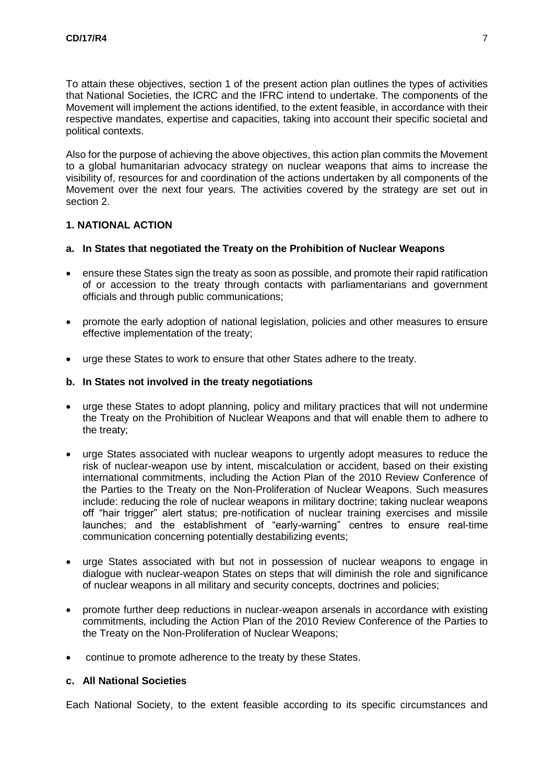To attain these objectives, section 1 of the present action plan outlines the types of activities that National Societies, the ICRC and the IFRC intend to undertake. The components of the Movement will implement the actions identified, to the extent feasible, in accordance with their respective mandates, expertise and capacities, taking into account their specific societal and political contexts.

Also for the purpose of achieving the above objectives, this action plan commits the Movement to a global humanitarian advocacy strategy on nuclear weapons that aims to increase the visibility of, resources for and coordination of the actions undertaken by all components of the Movement over the next four years. The activities covered by the strategy are set out in section 2.

### **1. NATIONAL ACTION**

#### **a. In States that negotiated the Treaty on the Prohibition of Nuclear Weapons**

- ensure these States sign the treaty as soon as possible, and promote their rapid ratification of or accession to the treaty through contacts with parliamentarians and government officials and through public communications;
- promote the early adoption of national legislation, policies and other measures to ensure effective implementation of the treaty;
- urge these States to work to ensure that other States adhere to the treaty.

#### **b. In States not involved in the treaty negotiations**

- urge these States to adopt planning, policy and military practices that will not undermine the Treaty on the Prohibition of Nuclear Weapons and that will enable them to adhere to the treaty;
- urge States associated with nuclear weapons to urgently adopt measures to reduce the risk of nuclear-weapon use by intent, miscalculation or accident, based on their existing international commitments, including the Action Plan of the 2010 Review Conference of the Parties to the Treaty on the Non-Proliferation of Nuclear Weapons. Such measures include: reducing the role of nuclear weapons in military doctrine; taking nuclear weapons off "hair trigger" alert status; pre-notification of nuclear training exercises and missile launches; and the establishment of "early-warning" centres to ensure real-time communication concerning potentially destabilizing events;
- urge States associated with but not in possession of nuclear weapons to engage in dialogue with nuclear-weapon States on steps that will diminish the role and significance of nuclear weapons in all military and security concepts, doctrines and policies;
- promote further deep reductions in nuclear-weapon arsenals in accordance with existing commitments, including the Action Plan of the 2010 Review Conference of the Parties to the Treaty on the Non-Proliferation of Nuclear Weapons;
- continue to promote adherence to the treaty by these States.

### **c. All National Societies**

Each National Society, to the extent feasible according to its specific circumstances and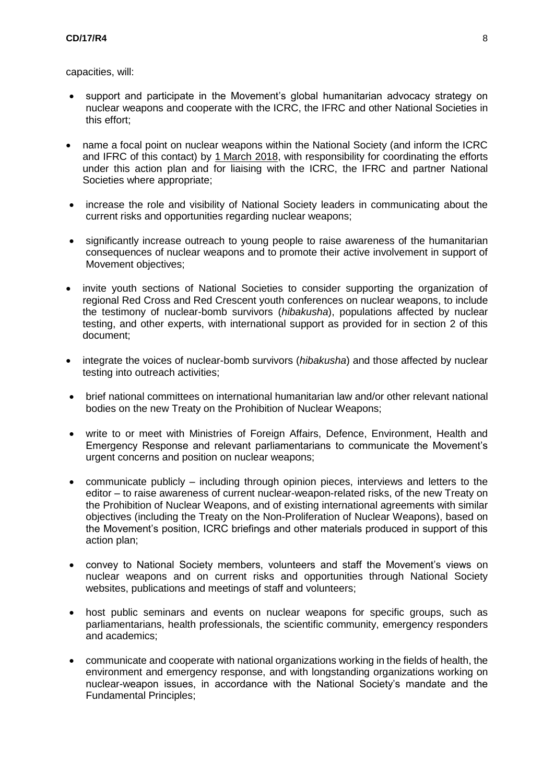capacities, will:

- support and participate in the Movement's global humanitarian advocacy strategy on nuclear weapons and cooperate with the ICRC, the IFRC and other National Societies in this effort;
- name a focal point on nuclear weapons within the National Society (and inform the ICRC and IFRC of this contact) by 1 March 2018, with responsibility for coordinating the efforts under this action plan and for liaising with the ICRC, the IFRC and partner National Societies where appropriate;
- increase the role and visibility of National Society leaders in communicating about the current risks and opportunities regarding nuclear weapons;
- significantly increase outreach to young people to raise awareness of the humanitarian consequences of nuclear weapons and to promote their active involvement in support of Movement objectives;
- invite youth sections of National Societies to consider supporting the organization of regional Red Cross and Red Crescent youth conferences on nuclear weapons, to include the testimony of nuclear-bomb survivors (*hibakusha*), populations affected by nuclear testing, and other experts, with international support as provided for in section 2 of this document;
- integrate the voices of nuclear-bomb survivors (*hibakusha*) and those affected by nuclear testing into outreach activities;
- brief national committees on international humanitarian law and/or other relevant national bodies on the new Treaty on the Prohibition of Nuclear Weapons;
- write to or meet with Ministries of Foreign Affairs, Defence, Environment, Health and Emergency Response and relevant parliamentarians to communicate the Movement's urgent concerns and position on nuclear weapons;
- communicate publicly including through opinion pieces, interviews and letters to the editor – to raise awareness of current nuclear-weapon-related risks, of the new Treaty on the Prohibition of Nuclear Weapons, and of existing international agreements with similar objectives (including the Treaty on the Non-Proliferation of Nuclear Weapons), based on the Movement's position, ICRC briefings and other materials produced in support of this action plan;
- convey to National Society members, volunteers and staff the Movement's views on nuclear weapons and on current risks and opportunities through National Society websites, publications and meetings of staff and volunteers;
- host public seminars and events on nuclear weapons for specific groups, such as parliamentarians, health professionals, the scientific community, emergency responders and academics;
- communicate and cooperate with national organizations working in the fields of health, the environment and emergency response, and with longstanding organizations working on nuclear-weapon issues, in accordance with the National Society's mandate and the Fundamental Principles;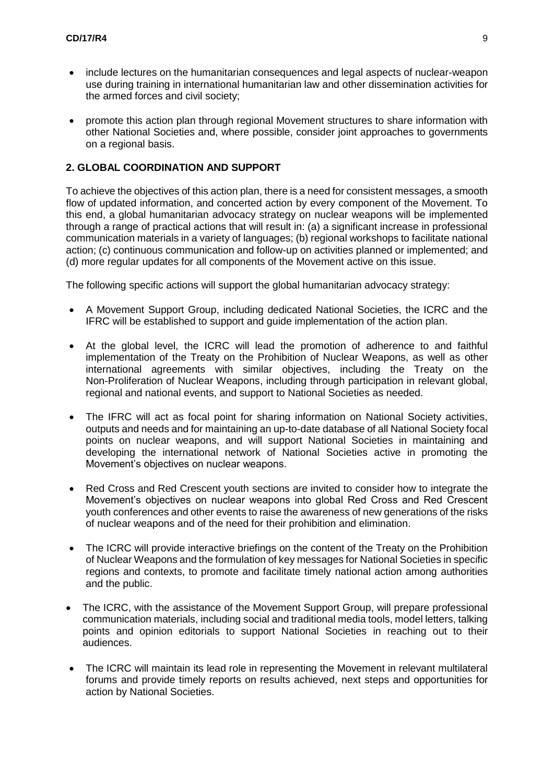- include lectures on the humanitarian consequences and legal aspects of nuclear-weapon use during training in international humanitarian law and other dissemination activities for the armed forces and civil society;
- promote this action plan through regional Movement structures to share information with other National Societies and, where possible, consider joint approaches to governments on a regional basis.

### **2. GLOBAL COORDINATION AND SUPPORT**

To achieve the objectives of this action plan, there is a need for consistent messages, a smooth flow of updated information, and concerted action by every component of the Movement. To this end, a global humanitarian advocacy strategy on nuclear weapons will be implemented through a range of practical actions that will result in: (a) a significant increase in professional communication materials in a variety of languages; (b) regional workshops to facilitate national action; (c) continuous communication and follow-up on activities planned or implemented; and (d) more regular updates for all components of the Movement active on this issue.

The following specific actions will support the global humanitarian advocacy strategy:

- A Movement Support Group, including dedicated National Societies, the ICRC and the IFRC will be established to support and guide implementation of the action plan.
- At the global level, the ICRC will lead the promotion of adherence to and faithful implementation of the Treaty on the Prohibition of Nuclear Weapons, as well as other international agreements with similar objectives, including the Treaty on the Non-Proliferation of Nuclear Weapons, including through participation in relevant global, regional and national events, and support to National Societies as needed.
- The IFRC will act as focal point for sharing information on National Society activities, outputs and needs and for maintaining an up-to-date database of all National Society focal points on nuclear weapons, and will support National Societies in maintaining and developing the international network of National Societies active in promoting the Movement's objectives on nuclear weapons.
- Red Cross and Red Crescent youth sections are invited to consider how to integrate the Movement's objectives on nuclear weapons into global Red Cross and Red Crescent youth conferences and other events to raise the awareness of new generations of the risks of nuclear weapons and of the need for their prohibition and elimination.
- The ICRC will provide interactive briefings on the content of the Treaty on the Prohibition of Nuclear Weapons and the formulation of key messages for National Societies in specific regions and contexts, to promote and facilitate timely national action among authorities and the public.
- The ICRC, with the assistance of the Movement Support Group, will prepare professional communication materials, including social and traditional media tools, model letters, talking points and opinion editorials to support National Societies in reaching out to their audiences.
- The ICRC will maintain its lead role in representing the Movement in relevant multilateral forums and provide timely reports on results achieved, next steps and opportunities for action by National Societies.